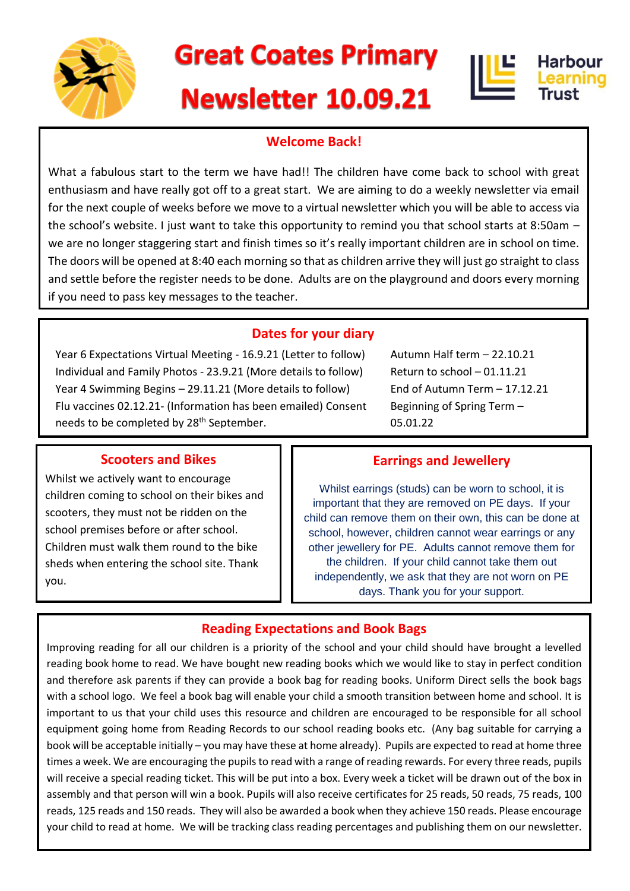

# **Great Coates Primary**

# **Newsletter 10.09.21**





## **Welcome Back!**

What a fabulous start to the term we have had!! The children have come back to school with great enthusiasm and have really got off to a great start. We are aiming to do a weekly newsletter via email for the next couple of weeks before we move to a virtual newsletter which you will be able to access via the school's website. I just want to take this opportunity to remind you that school starts at 8:50am – we are no longer staggering start and finish times so it's really important children are in school on time. The doors will be opened at 8:40 each morning so that as children arrive they will just go straight to class and settle before the register needs to be done. Adults are on the playground and doors every morning if you need to pass key messages to the teacher.

### **Dates for your diary**

Year 6 Expectations Virtual Meeting - 16.9.21 (Letter to follow) Individual and Family Photos - 23.9.21 (More details to follow) Year 4 Swimming Begins – 29.11.21 (More details to follow) Flu vaccines 02.12.21- (Information has been emailed) Consent needs to be completed by 28<sup>th</sup> September.

Autumn Half term – 22.10.21 Return to school – 01.11.21 End of Autumn Term – 17.12.21 Beginning of Spring Term – 05.01.22

### **Scooters and Bikes**

Whilst we actively want to encourage children coming to school on their bikes and scooters, they must not be ridden on the school premises before or after school. Children must walk them round to the bike sheds when entering the school site. Thank you.

### **Earrings and Jewellery**

Whilst earrings (studs) can be worn to school, it is important that they are removed on PE days. If your child can remove them on their own, this can be done at school, however, children cannot wear earrings or any other jewellery for PE. Adults cannot remove them for the children. If your child cannot take them out independently, we ask that they are not worn on PE days. Thank you for your support.

## **Reading Expectations and Book Bags**

Improving reading for all our children is a priority of the school and your child should have brought a levelled reading book home to read. We have bought new reading books which we would like to stay in perfect condition and therefore ask parents if they can provide a book bag for reading books. Uniform Direct sells the book bags with a school logo. We feel a book bag will enable your child a smooth transition between home and school. It is important to us that your child uses this resource and children are encouraged to be responsible for all school equipment going home from Reading Records to our school reading books etc. (Any bag suitable for carrying a book will be acceptable initially – you may have these at home already). Pupils are expected to read at home three times a week. We are encouraging the pupils to read with a range of reading rewards. For every three reads, pupils will receive a special reading ticket. This will be put into a box. Every week a ticket will be drawn out of the box in assembly and that person will win a book. Pupils will also receive certificates for 25 reads, 50 reads, 75 reads, 100 reads, 125 reads and 150 reads. They will also be awarded a book when they achieve 150 reads. Please encourage your child to read at home. We will be tracking class reading percentages and publishing them on our newsletter.